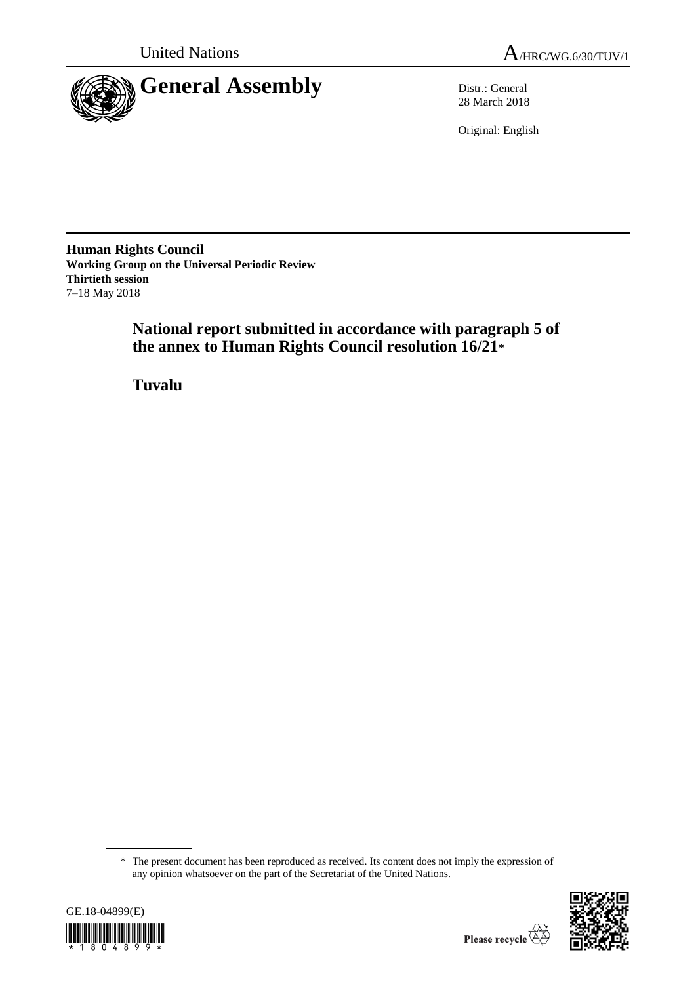



28 March 2018

Original: English

**Human Rights Council Working Group on the Universal Periodic Review Thirtieth session** 7–18 May 2018

> **National report submitted in accordance with paragraph 5 of the annex to Human Rights Council resolution 16/21**\*

**Tuvalu**

<sup>\*</sup> The present document has been reproduced as received. Its content does not imply the expression of any opinion whatsoever on the part of the Secretariat of the United Nations.



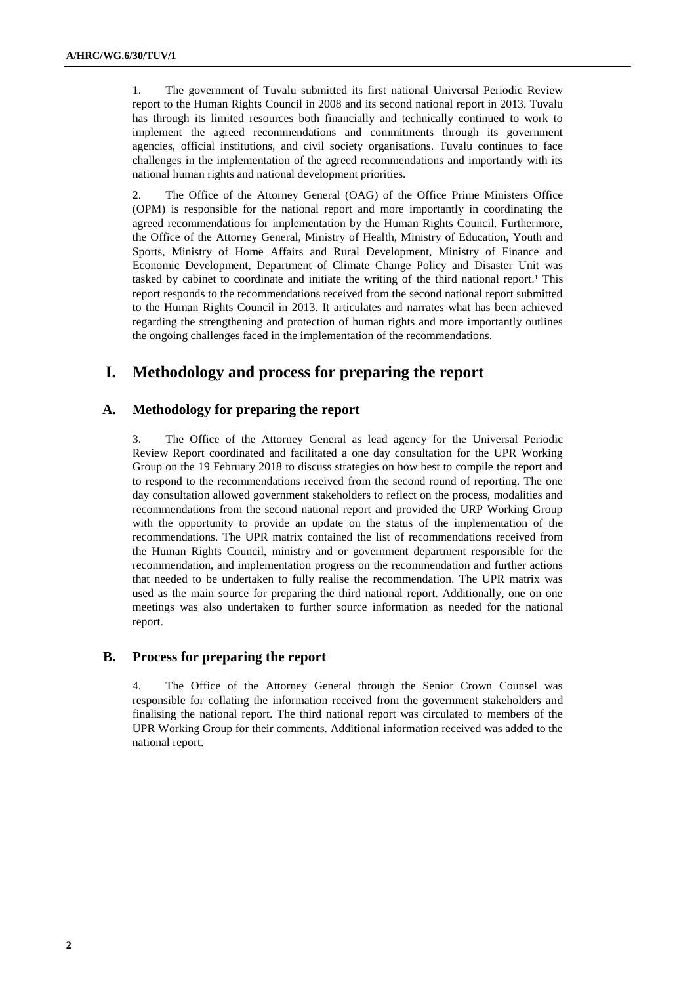1. The government of Tuvalu submitted its first national Universal Periodic Review report to the Human Rights Council in 2008 and its second national report in 2013. Tuvalu has through its limited resources both financially and technically continued to work to implement the agreed recommendations and commitments through its government agencies, official institutions, and civil society organisations. Tuvalu continues to face challenges in the implementation of the agreed recommendations and importantly with its national human rights and national development priorities.

2. The Office of the Attorney General (OAG) of the Office Prime Ministers Office (OPM) is responsible for the national report and more importantly in coordinating the agreed recommendations for implementation by the Human Rights Council. Furthermore, the Office of the Attorney General, Ministry of Health, Ministry of Education, Youth and Sports, Ministry of Home Affairs and Rural Development, Ministry of Finance and Economic Development, Department of Climate Change Policy and Disaster Unit was tasked by cabinet to coordinate and initiate the writing of the third national report.<sup>1</sup> This report responds to the recommendations received from the second national report submitted to the Human Rights Council in 2013. It articulates and narrates what has been achieved regarding the strengthening and protection of human rights and more importantly outlines the ongoing challenges faced in the implementation of the recommendations.

# **I. Methodology and process for preparing the report**

#### **A. Methodology for preparing the report**

3. The Office of the Attorney General as lead agency for the Universal Periodic Review Report coordinated and facilitated a one day consultation for the UPR Working Group on the 19 February 2018 to discuss strategies on how best to compile the report and to respond to the recommendations received from the second round of reporting. The one day consultation allowed government stakeholders to reflect on the process, modalities and recommendations from the second national report and provided the URP Working Group with the opportunity to provide an update on the status of the implementation of the recommendations. The UPR matrix contained the list of recommendations received from the Human Rights Council, ministry and or government department responsible for the recommendation, and implementation progress on the recommendation and further actions that needed to be undertaken to fully realise the recommendation. The UPR matrix was used as the main source for preparing the third national report. Additionally, one on one meetings was also undertaken to further source information as needed for the national report.

#### **B. Process for preparing the report**

4. The Office of the Attorney General through the Senior Crown Counsel was responsible for collating the information received from the government stakeholders and finalising the national report. The third national report was circulated to members of the UPR Working Group for their comments. Additional information received was added to the national report.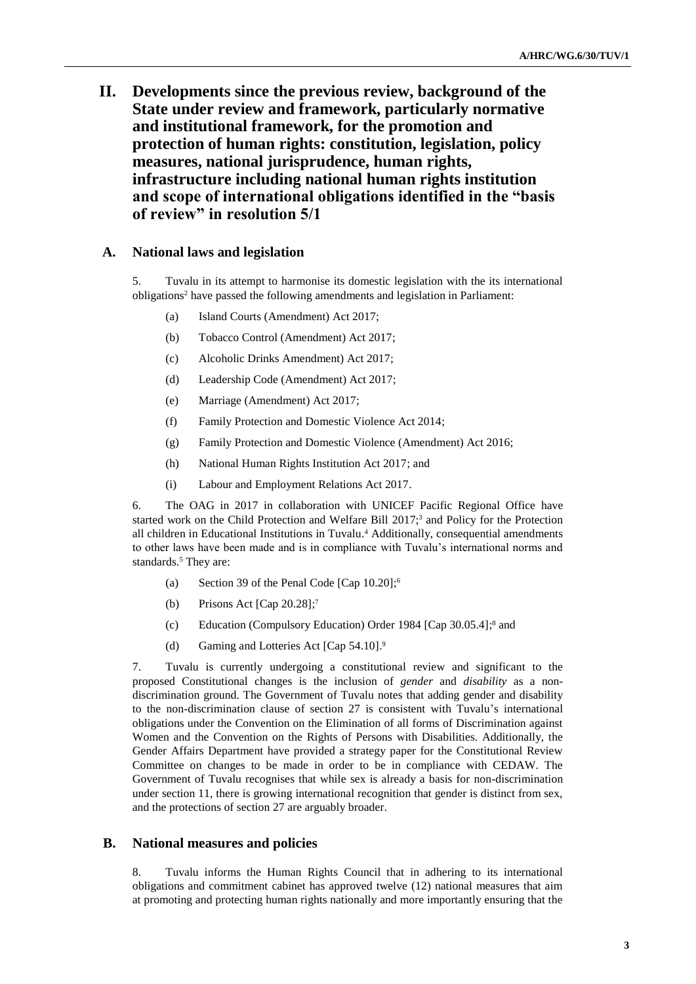**II. Developments since the previous review, background of the State under review and framework, particularly normative and institutional framework, for the promotion and protection of human rights: constitution, legislation, policy measures, national jurisprudence, human rights, infrastructure including national human rights institution and scope of international obligations identified in the "basis of review" in resolution 5/1**

#### **A. National laws and legislation**

5. Tuvalu in its attempt to harmonise its domestic legislation with the its international obligations<sup>2</sup> have passed the following amendments and legislation in Parliament:

- (a) Island Courts (Amendment) Act 2017;
- (b) Tobacco Control (Amendment) Act 2017;
- (c) Alcoholic Drinks Amendment) Act 2017;
- (d) Leadership Code (Amendment) Act 2017;
- (e) Marriage (Amendment) Act 2017;
- (f) Family Protection and Domestic Violence Act 2014;
- (g) Family Protection and Domestic Violence (Amendment) Act 2016;
- (h) National Human Rights Institution Act 2017; and
- (i) Labour and Employment Relations Act 2017.

6. The OAG in 2017 in collaboration with UNICEF Pacific Regional Office have started work on the Child Protection and Welfare Bill 2017; <sup>3</sup> and Policy for the Protection all children in Educational Institutions in Tuvalu. <sup>4</sup> Additionally, consequential amendments to other laws have been made and is in compliance with Tuvalu's international norms and standards. <sup>5</sup> They are:

- (a) Section 39 of the Penal Code [Cap 10.20]; 6
- (b) Prisons Act [Cap 20.28]; 7
- (c) Education (Compulsory Education) Order 1984 [Cap 30.05.4]; <sup>8</sup> and
- (d) Gaming and Lotteries Act [Cap 54.10]. 9

7. Tuvalu is currently undergoing a constitutional review and significant to the proposed Constitutional changes is the inclusion of *gender* and *disability* as a nondiscrimination ground. The Government of Tuvalu notes that adding gender and disability to the non-discrimination clause of section 27 is consistent with Tuvalu's international obligations under the Convention on the Elimination of all forms of Discrimination against Women and the Convention on the Rights of Persons with Disabilities. Additionally, the Gender Affairs Department have provided a strategy paper for the Constitutional Review Committee on changes to be made in order to be in compliance with CEDAW. The Government of Tuvalu recognises that while sex is already a basis for non-discrimination under section 11, there is growing international recognition that gender is distinct from sex, and the protections of section 27 are arguably broader.

#### **B. National measures and policies**

8. Tuvalu informs the Human Rights Council that in adhering to its international obligations and commitment cabinet has approved twelve (12) national measures that aim at promoting and protecting human rights nationally and more importantly ensuring that the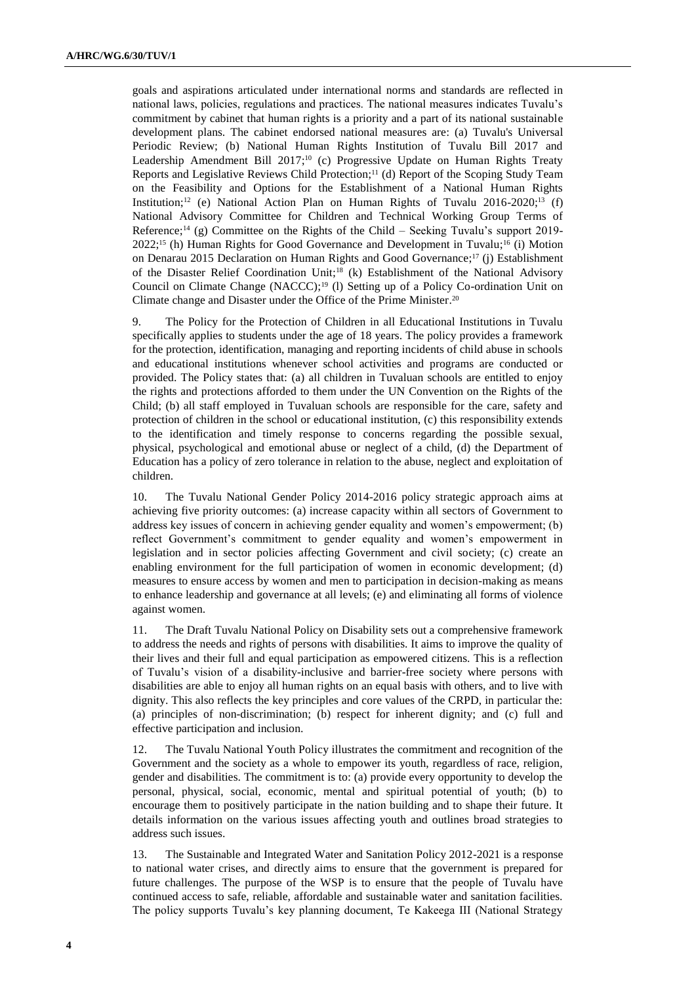goals and aspirations articulated under international norms and standards are reflected in national laws, policies, regulations and practices. The national measures indicates Tuvalu's commitment by cabinet that human rights is a priority and a part of its national sustainable development plans. The cabinet endorsed national measures are: (a) Tuvalu's Universal Periodic Review; (b) National Human Rights Institution of Tuvalu Bill 2017 and Leadership Amendment Bill 2017;<sup>10</sup> (c) Progressive Update on Human Rights Treaty Reports and Legislative Reviews Child Protection; <sup>11</sup> (d) Report of the Scoping Study Team on the Feasibility and Options for the Establishment of a National Human Rights Institution;<sup>12</sup> (e) National Action Plan on Human Rights of Tuvalu  $2016-2020;$ <sup>13</sup> (f) National Advisory Committee for Children and Technical Working Group Terms of Reference; <sup>14</sup> (g) Committee on the Rights of the Child – Seeking Tuvalu's support 2019-  $2022;^{15}$  (h) Human Rights for Good Governance and Development in Tuvalu;<sup>16</sup> (i) Motion on Denarau 2015 Declaration on Human Rights and Good Governance; <sup>17</sup> (j) Establishment of the Disaster Relief Coordination Unit; <sup>18</sup> (k) Establishment of the National Advisory Council on Climate Change  $(NACCC)^{19}$  (1) Setting up of a Policy Co-ordination Unit on Climate change and Disaster under the Office of the Prime Minister. 20

9. The Policy for the Protection of Children in all Educational Institutions in Tuvalu specifically applies to students under the age of 18 years. The policy provides a framework for the protection, identification, managing and reporting incidents of child abuse in schools and educational institutions whenever school activities and programs are conducted or provided. The Policy states that: (a) all children in Tuvaluan schools are entitled to enjoy the rights and protections afforded to them under the UN Convention on the Rights of the Child; (b) all staff employed in Tuvaluan schools are responsible for the care, safety and protection of children in the school or educational institution, (c) this responsibility extends to the identification and timely response to concerns regarding the possible sexual, physical, psychological and emotional abuse or neglect of a child, (d) the Department of Education has a policy of zero tolerance in relation to the abuse, neglect and exploitation of children.

10. The Tuvalu National Gender Policy 2014-2016 policy strategic approach aims at achieving five priority outcomes: (a) increase capacity within all sectors of Government to address key issues of concern in achieving gender equality and women's empowerment; (b) reflect Government's commitment to gender equality and women's empowerment in legislation and in sector policies affecting Government and civil society; (c) create an enabling environment for the full participation of women in economic development; (d) measures to ensure access by women and men to participation in decision-making as means to enhance leadership and governance at all levels; (e) and eliminating all forms of violence against women.

11. The Draft Tuvalu National Policy on Disability sets out a comprehensive framework to address the needs and rights of persons with disabilities. It aims to improve the quality of their lives and their full and equal participation as empowered citizens. This is a reflection of Tuvalu's vision of a disability-inclusive and barrier-free society where persons with disabilities are able to enjoy all human rights on an equal basis with others, and to live with dignity. This also reflects the key principles and core values of the CRPD, in particular the: (a) principles of non-discrimination; (b) respect for inherent dignity; and (c) full and effective participation and inclusion.

12. The Tuvalu National Youth Policy illustrates the commitment and recognition of the Government and the society as a whole to empower its youth, regardless of race, religion, gender and disabilities. The commitment is to: (a) provide every opportunity to develop the personal, physical, social, economic, mental and spiritual potential of youth; (b) to encourage them to positively participate in the nation building and to shape their future. It details information on the various issues affecting youth and outlines broad strategies to address such issues.

13. The Sustainable and Integrated Water and Sanitation Policy 2012-2021 is a response to national water crises, and directly aims to ensure that the government is prepared for future challenges. The purpose of the WSP is to ensure that the people of Tuvalu have continued access to safe, reliable, affordable and sustainable water and sanitation facilities. The policy supports Tuvalu's key planning document, Te Kakeega III (National Strategy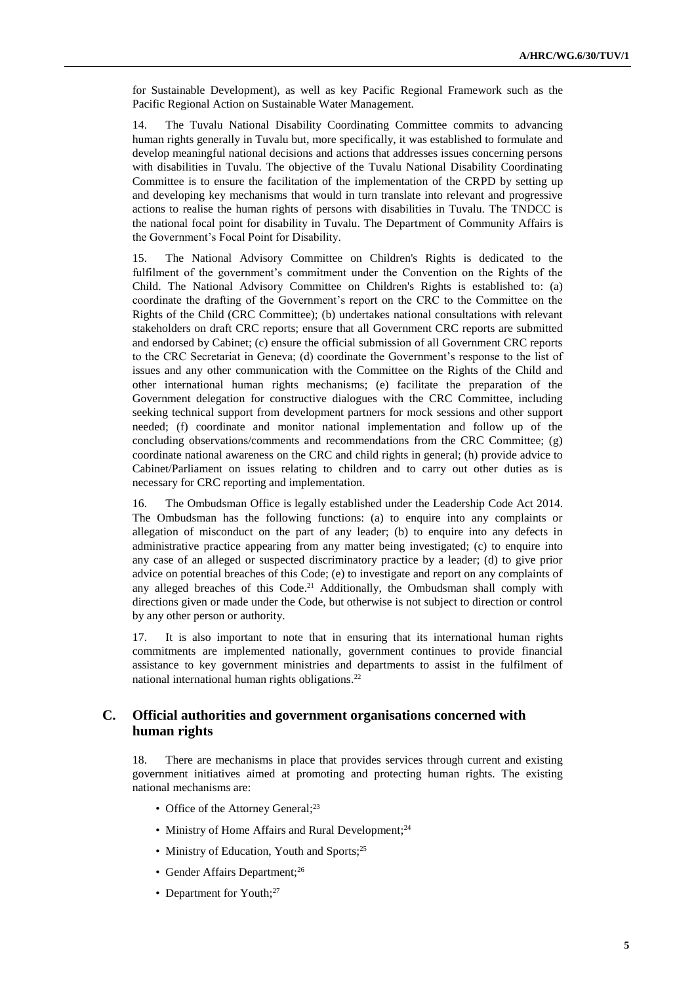for Sustainable Development), as well as key Pacific Regional Framework such as the Pacific Regional Action on Sustainable Water Management.

14. The Tuvalu National Disability Coordinating Committee commits to advancing human rights generally in Tuvalu but, more specifically, it was established to formulate and develop meaningful national decisions and actions that addresses issues concerning persons with disabilities in Tuvalu. The objective of the Tuvalu National Disability Coordinating Committee is to ensure the facilitation of the implementation of the CRPD by setting up and developing key mechanisms that would in turn translate into relevant and progressive actions to realise the human rights of persons with disabilities in Tuvalu. The TNDCC is the national focal point for disability in Tuvalu. The Department of Community Affairs is the Government's Focal Point for Disability.

15. The National Advisory Committee on Children's Rights is dedicated to the fulfilment of the government's commitment under the Convention on the Rights of the Child. The National Advisory Committee on Children's Rights is established to: (a) coordinate the drafting of the Government's report on the CRC to the Committee on the Rights of the Child (CRC Committee); (b) undertakes national consultations with relevant stakeholders on draft CRC reports; ensure that all Government CRC reports are submitted and endorsed by Cabinet; (c) ensure the official submission of all Government CRC reports to the CRC Secretariat in Geneva; (d) coordinate the Government's response to the list of issues and any other communication with the Committee on the Rights of the Child and other international human rights mechanisms; (e) facilitate the preparation of the Government delegation for constructive dialogues with the CRC Committee, including seeking technical support from development partners for mock sessions and other support needed; (f) coordinate and monitor national implementation and follow up of the concluding observations/comments and recommendations from the CRC Committee; (g) coordinate national awareness on the CRC and child rights in general; (h) provide advice to Cabinet/Parliament on issues relating to children and to carry out other duties as is necessary for CRC reporting and implementation.

16. The Ombudsman Office is legally established under the Leadership Code Act 2014. The Ombudsman has the following functions: (a) to enquire into any complaints or allegation of misconduct on the part of any leader; (b) to enquire into any defects in administrative practice appearing from any matter being investigated; (c) to enquire into any case of an alleged or suspected discriminatory practice by a leader; (d) to give prior advice on potential breaches of this Code; (e) to investigate and report on any complaints of any alleged breaches of this Code. <sup>21</sup> Additionally, the Ombudsman shall comply with directions given or made under the Code, but otherwise is not subject to direction or control by any other person or authority.

17. It is also important to note that in ensuring that its international human rights commitments are implemented nationally, government continues to provide financial assistance to key government ministries and departments to assist in the fulfilment of national international human rights obligations. 22

#### **C. Official authorities and government organisations concerned with human rights**

18. There are mechanisms in place that provides services through current and existing government initiatives aimed at promoting and protecting human rights. The existing national mechanisms are:

- Office of the Attorney General;<sup>23</sup>
- Ministry of Home Affairs and Rural Development;<sup>24</sup>
- Ministry of Education, Youth and Sports;<sup>25</sup>
- Gender Affairs Department;<sup>26</sup>
- Department for Youth;<sup>27</sup>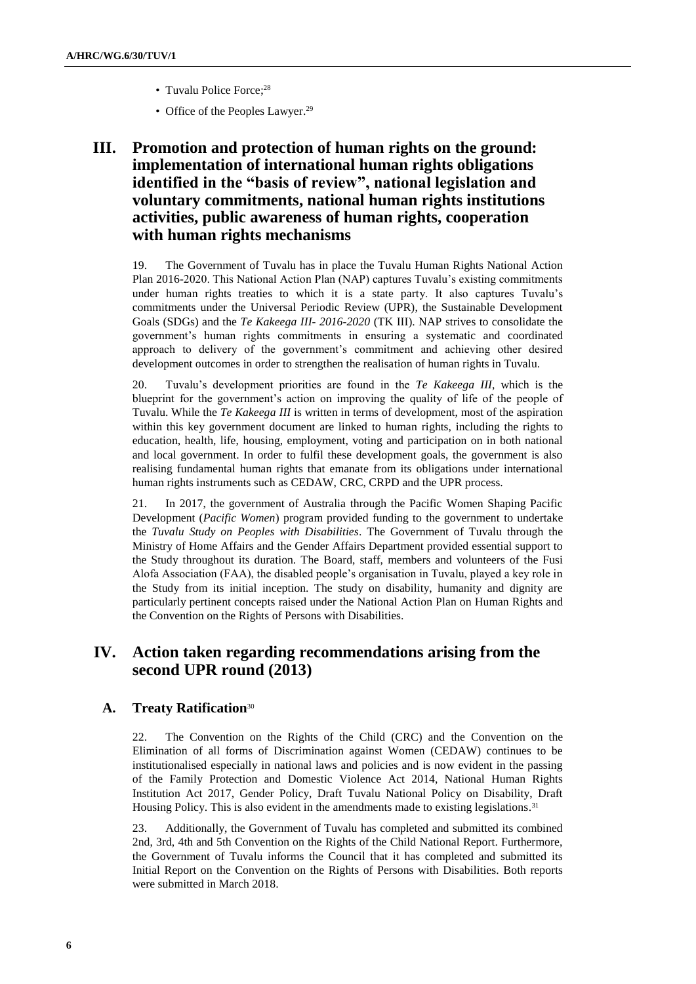- Tuvalu Police Force;<sup>28</sup>
- Office of the Peoples Lawyer.<sup>29</sup>

# **III. Promotion and protection of human rights on the ground: implementation of international human rights obligations identified in the "basis of review", national legislation and voluntary commitments, national human rights institutions activities, public awareness of human rights, cooperation with human rights mechanisms**

19. The Government of Tuvalu has in place the Tuvalu Human Rights National Action Plan 2016-2020. This National Action Plan (NAP) captures Tuvalu's existing commitments under human rights treaties to which it is a state party. It also captures Tuvalu's commitments under the Universal Periodic Review (UPR), the Sustainable Development Goals (SDGs) and the *Te Kakeega III- 2016-2020* (TK III). NAP strives to consolidate the government's human rights commitments in ensuring a systematic and coordinated approach to delivery of the government's commitment and achieving other desired development outcomes in order to strengthen the realisation of human rights in Tuvalu.

20. Tuvalu's development priorities are found in the *Te Kakeega III*, which is the blueprint for the government's action on improving the quality of life of the people of Tuvalu. While the *Te Kakeega III* is written in terms of development, most of the aspiration within this key government document are linked to human rights, including the rights to education, health, life, housing, employment, voting and participation on in both national and local government. In order to fulfil these development goals, the government is also realising fundamental human rights that emanate from its obligations under international human rights instruments such as CEDAW, CRC, CRPD and the UPR process.

21. In 2017, the government of Australia through the Pacific Women Shaping Pacific Development (*Pacific Women*) program provided funding to the government to undertake the *Tuvalu Study on Peoples with Disabilities*. The Government of Tuvalu through the Ministry of Home Affairs and the Gender Affairs Department provided essential support to the Study throughout its duration. The Board, staff, members and volunteers of the Fusi Alofa Association (FAA), the disabled people's organisation in Tuvalu, played a key role in the Study from its initial inception. The study on disability, humanity and dignity are particularly pertinent concepts raised under the National Action Plan on Human Rights and the Convention on the Rights of Persons with Disabilities.

# **IV. Action taken regarding recommendations arising from the second UPR round (2013)**

## **A. Treaty Ratification**<sup>30</sup>

22. The Convention on the Rights of the Child (CRC) and the Convention on the Elimination of all forms of Discrimination against Women (CEDAW) continues to be institutionalised especially in national laws and policies and is now evident in the passing of the Family Protection and Domestic Violence Act 2014, National Human Rights Institution Act 2017, Gender Policy, Draft Tuvalu National Policy on Disability, Draft Housing Policy. This is also evident in the amendments made to existing legislations. 31

23. Additionally, the Government of Tuvalu has completed and submitted its combined 2nd, 3rd, 4th and 5th Convention on the Rights of the Child National Report. Furthermore, the Government of Tuvalu informs the Council that it has completed and submitted its Initial Report on the Convention on the Rights of Persons with Disabilities. Both reports were submitted in March 2018.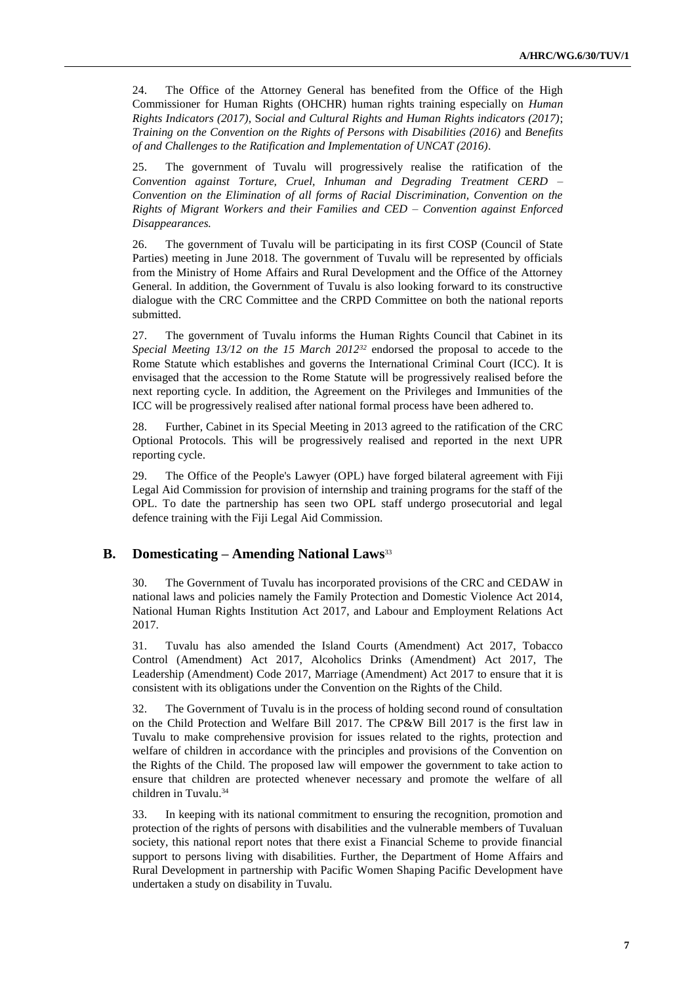24. The Office of the Attorney General has benefited from the Office of the High Commissioner for Human Rights (OHCHR) human rights training especially on *Human Rights Indicators (2017)*, S*ocial and Cultural Rights and Human Rights indicators (2017)*; *Training on the Convention on the Rights of Persons with Disabilities (2016)* and *Benefits of and Challenges to the Ratification and Implementation of UNCAT (2016)*.

25. The government of Tuvalu will progressively realise the ratification of the *Convention against Torture, Cruel, Inhuman and Degrading Treatment CERD – Convention on the Elimination of all forms of Racial Discrimination, Convention on the Rights of Migrant Workers and their Families and CED – Convention against Enforced Disappearances.*

26. The government of Tuvalu will be participating in its first COSP (Council of State Parties) meeting in June 2018. The government of Tuvalu will be represented by officials from the Ministry of Home Affairs and Rural Development and the Office of the Attorney General. In addition, the Government of Tuvalu is also looking forward to its constructive dialogue with the CRC Committee and the CRPD Committee on both the national reports submitted.

27. The government of Tuvalu informs the Human Rights Council that Cabinet in its *Special Meeting 13/12 on the 15 March 2012<sup>32</sup>* endorsed the proposal to accede to the Rome Statute which establishes and governs the International Criminal Court (ICC). It is envisaged that the accession to the Rome Statute will be progressively realised before the next reporting cycle. In addition, the Agreement on the Privileges and Immunities of the ICC will be progressively realised after national formal process have been adhered to.

28. Further, Cabinet in its Special Meeting in 2013 agreed to the ratification of the CRC Optional Protocols. This will be progressively realised and reported in the next UPR reporting cycle.

29. The Office of the People's Lawyer (OPL) have forged bilateral agreement with Fiji Legal Aid Commission for provision of internship and training programs for the staff of the OPL. To date the partnership has seen two OPL staff undergo prosecutorial and legal defence training with the Fiji Legal Aid Commission.

#### **B. Domesticating – Amending National Laws**<sup>33</sup>

30. The Government of Tuvalu has incorporated provisions of the CRC and CEDAW in national laws and policies namely the Family Protection and Domestic Violence Act 2014, National Human Rights Institution Act 2017, and Labour and Employment Relations Act 2017.

31. Tuvalu has also amended the Island Courts (Amendment) Act 2017, Tobacco Control (Amendment) Act 2017, Alcoholics Drinks (Amendment) Act 2017, The Leadership (Amendment) Code 2017, Marriage (Amendment) Act 2017 to ensure that it is consistent with its obligations under the Convention on the Rights of the Child.

32. The Government of Tuvalu is in the process of holding second round of consultation on the Child Protection and Welfare Bill 2017. The CP&W Bill 2017 is the first law in Tuvalu to make comprehensive provision for issues related to the rights, protection and welfare of children in accordance with the principles and provisions of the Convention on the Rights of the Child. The proposed law will empower the government to take action to ensure that children are protected whenever necessary and promote the welfare of all children in Tuvalu. 34

33. In keeping with its national commitment to ensuring the recognition, promotion and protection of the rights of persons with disabilities and the vulnerable members of Tuvaluan society, this national report notes that there exist a Financial Scheme to provide financial support to persons living with disabilities. Further, the Department of Home Affairs and Rural Development in partnership with Pacific Women Shaping Pacific Development have undertaken a study on disability in Tuvalu.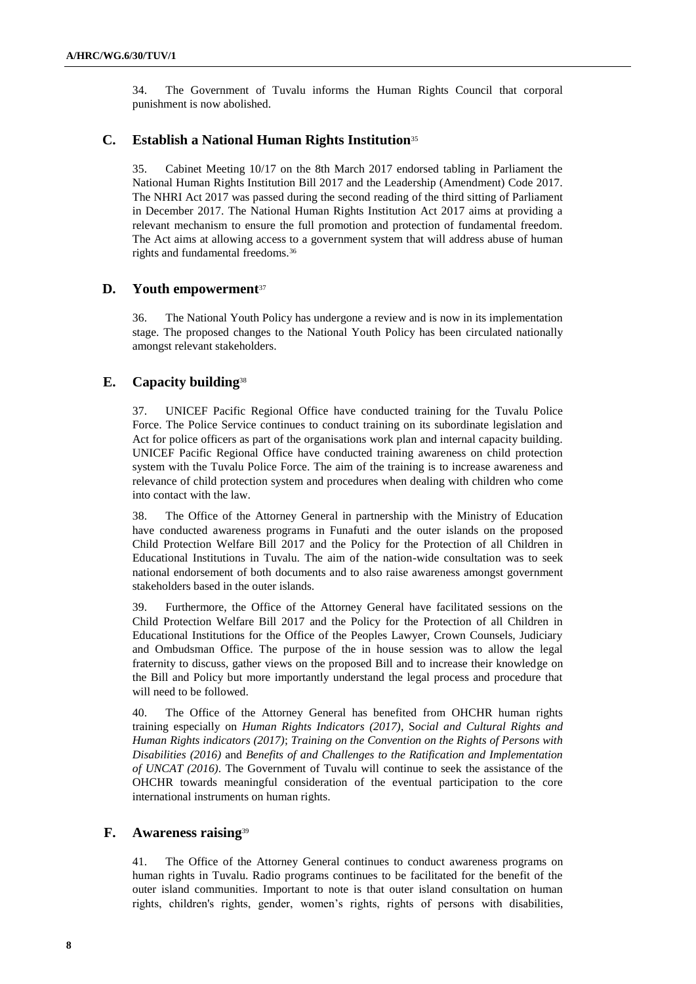34. The Government of Tuvalu informs the Human Rights Council that corporal punishment is now abolished.

## **C. Establish a National Human Rights Institution**<sup>35</sup>

35. Cabinet Meeting 10/17 on the 8th March 2017 endorsed tabling in Parliament the National Human Rights Institution Bill 2017 and the Leadership (Amendment) Code 2017. The NHRI Act 2017 was passed during the second reading of the third sitting of Parliament in December 2017. The National Human Rights Institution Act 2017 aims at providing a relevant mechanism to ensure the full promotion and protection of fundamental freedom. The Act aims at allowing access to a government system that will address abuse of human rights and fundamental freedoms.<sup>36</sup>

## **D. Youth empowerment**<sup>37</sup>

36. The National Youth Policy has undergone a review and is now in its implementation stage. The proposed changes to the National Youth Policy has been circulated nationally amongst relevant stakeholders.

## **E. Capacity building**<sup>38</sup>

37. UNICEF Pacific Regional Office have conducted training for the Tuvalu Police Force. The Police Service continues to conduct training on its subordinate legislation and Act for police officers as part of the organisations work plan and internal capacity building. UNICEF Pacific Regional Office have conducted training awareness on child protection system with the Tuvalu Police Force. The aim of the training is to increase awareness and relevance of child protection system and procedures when dealing with children who come into contact with the law.

38. The Office of the Attorney General in partnership with the Ministry of Education have conducted awareness programs in Funafuti and the outer islands on the proposed Child Protection Welfare Bill 2017 and the Policy for the Protection of all Children in Educational Institutions in Tuvalu. The aim of the nation-wide consultation was to seek national endorsement of both documents and to also raise awareness amongst government stakeholders based in the outer islands.

39. Furthermore, the Office of the Attorney General have facilitated sessions on the Child Protection Welfare Bill 2017 and the Policy for the Protection of all Children in Educational Institutions for the Office of the Peoples Lawyer, Crown Counsels, Judiciary and Ombudsman Office. The purpose of the in house session was to allow the legal fraternity to discuss, gather views on the proposed Bill and to increase their knowledge on the Bill and Policy but more importantly understand the legal process and procedure that will need to be followed.

40. The Office of the Attorney General has benefited from OHCHR human rights training especially on *Human Rights Indicators (2017)*, S*ocial and Cultural Rights and Human Rights indicators (2017)*; *Training on the Convention on the Rights of Persons with Disabilities (2016)* and *Benefits of and Challenges to the Ratification and Implementation of UNCAT (2016)*. The Government of Tuvalu will continue to seek the assistance of the OHCHR towards meaningful consideration of the eventual participation to the core international instruments on human rights.

## **F. Awareness raising**<sup>39</sup>

41. The Office of the Attorney General continues to conduct awareness programs on human rights in Tuvalu. Radio programs continues to be facilitated for the benefit of the outer island communities. Important to note is that outer island consultation on human rights, children's rights, gender, women's rights, rights of persons with disabilities,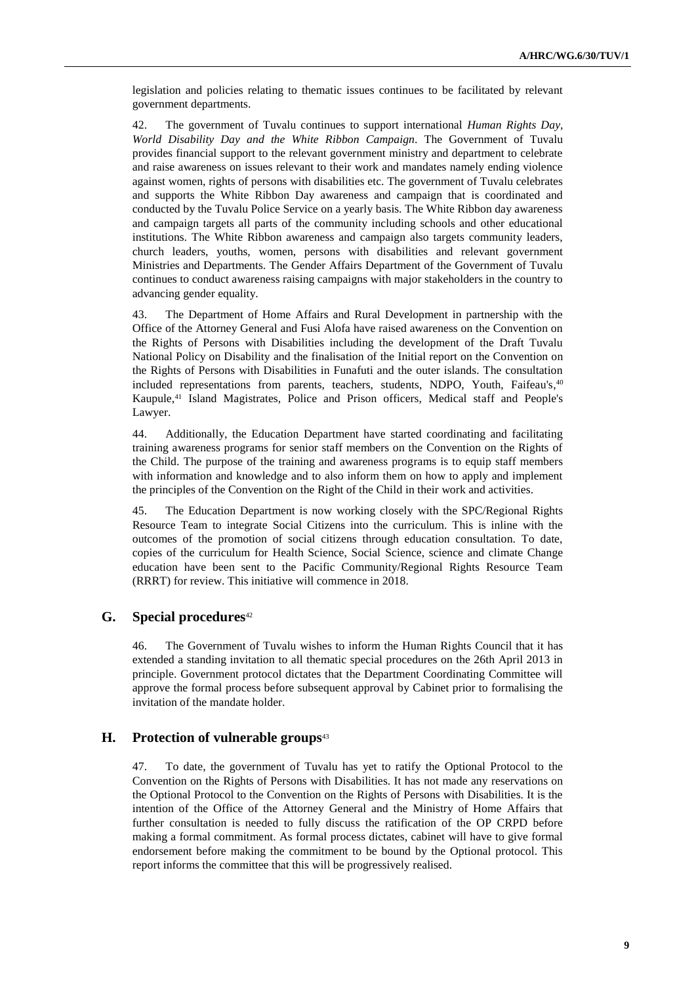legislation and policies relating to thematic issues continues to be facilitated by relevant government departments.

42. The government of Tuvalu continues to support international *Human Rights Day, World Disability Day and the White Ribbon Campaign*. The Government of Tuvalu provides financial support to the relevant government ministry and department to celebrate and raise awareness on issues relevant to their work and mandates namely ending violence against women, rights of persons with disabilities etc. The government of Tuvalu celebrates and supports the White Ribbon Day awareness and campaign that is coordinated and conducted by the Tuvalu Police Service on a yearly basis. The White Ribbon day awareness and campaign targets all parts of the community including schools and other educational institutions. The White Ribbon awareness and campaign also targets community leaders, church leaders, youths, women, persons with disabilities and relevant government Ministries and Departments. The Gender Affairs Department of the Government of Tuvalu continues to conduct awareness raising campaigns with major stakeholders in the country to advancing gender equality.

43. The Department of Home Affairs and Rural Development in partnership with the Office of the Attorney General and Fusi Alofa have raised awareness on the Convention on the Rights of Persons with Disabilities including the development of the Draft Tuvalu National Policy on Disability and the finalisation of the Initial report on the Convention on the Rights of Persons with Disabilities in Funafuti and the outer islands. The consultation included representations from parents, teachers, students, NDPO, Youth, Faifeau's,<sup>40</sup> Kaupule, <sup>41</sup> Island Magistrates, Police and Prison officers, Medical staff and People's Lawyer.

44. Additionally, the Education Department have started coordinating and facilitating training awareness programs for senior staff members on the Convention on the Rights of the Child. The purpose of the training and awareness programs is to equip staff members with information and knowledge and to also inform them on how to apply and implement the principles of the Convention on the Right of the Child in their work and activities.

45. The Education Department is now working closely with the SPC/Regional Rights Resource Team to integrate Social Citizens into the curriculum. This is inline with the outcomes of the promotion of social citizens through education consultation. To date, copies of the curriculum for Health Science, Social Science, science and climate Change education have been sent to the Pacific Community/Regional Rights Resource Team (RRRT) for review. This initiative will commence in 2018.

#### **G. Special procedures**<sup>42</sup>

46. The Government of Tuvalu wishes to inform the Human Rights Council that it has extended a standing invitation to all thematic special procedures on the 26th April 2013 in principle. Government protocol dictates that the Department Coordinating Committee will approve the formal process before subsequent approval by Cabinet prior to formalising the invitation of the mandate holder.

#### **H. Protection of vulnerable groups**<sup>43</sup>

47. To date, the government of Tuvalu has yet to ratify the Optional Protocol to the Convention on the Rights of Persons with Disabilities. It has not made any reservations on the Optional Protocol to the Convention on the Rights of Persons with Disabilities. It is the intention of the Office of the Attorney General and the Ministry of Home Affairs that further consultation is needed to fully discuss the ratification of the OP CRPD before making a formal commitment. As formal process dictates, cabinet will have to give formal endorsement before making the commitment to be bound by the Optional protocol. This report informs the committee that this will be progressively realised.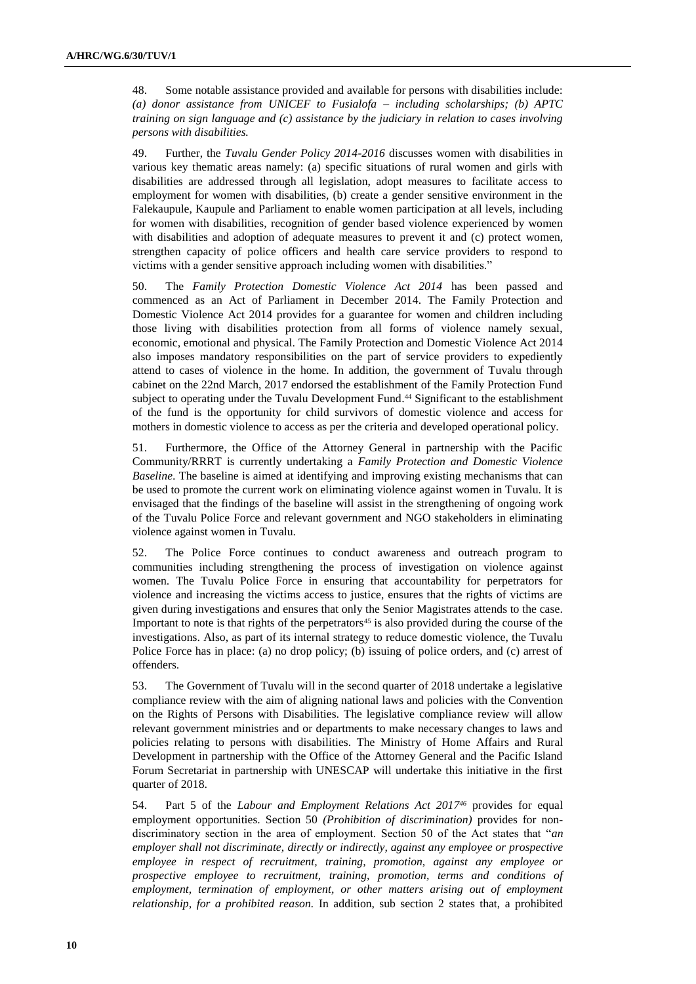48. Some notable assistance provided and available for persons with disabilities include: *(a) donor assistance from UNICEF to Fusialofa – including scholarships; (b) APTC training on sign language and (c) assistance by the judiciary in relation to cases involving persons with disabilities.*

49. Further, the *Tuvalu Gender Policy 2014-2016* discusses women with disabilities in various key thematic areas namely: (a) specific situations of rural women and girls with disabilities are addressed through all legislation, adopt measures to facilitate access to employment for women with disabilities, (b) create a gender sensitive environment in the Falekaupule, Kaupule and Parliament to enable women participation at all levels, including for women with disabilities*,* recognition of gender based violence experienced by women with disabilities and adoption of adequate measures to prevent it and (c) protect women, strengthen capacity of police officers and health care service providers to respond to victims with a gender sensitive approach including women with disabilities."

50. The *Family Protection Domestic Violence Act 2014* has been passed and commenced as an Act of Parliament in December 2014. The Family Protection and Domestic Violence Act 2014 provides for a guarantee for women and children including those living with disabilities protection from all forms of violence namely sexual, economic, emotional and physical. The Family Protection and Domestic Violence Act 2014 also imposes mandatory responsibilities on the part of service providers to expediently attend to cases of violence in the home. In addition, the government of Tuvalu through cabinet on the 22nd March, 2017 endorsed the establishment of the Family Protection Fund subject to operating under the Tuvalu Development Fund. <sup>44</sup> Significant to the establishment of the fund is the opportunity for child survivors of domestic violence and access for mothers in domestic violence to access as per the criteria and developed operational policy.

51. Furthermore, the Office of the Attorney General in partnership with the Pacific Community/RRRT is currently undertaking a *Family Protection and Domestic Violence Baseline*. The baseline is aimed at identifying and improving existing mechanisms that can be used to promote the current work on eliminating violence against women in Tuvalu. It is envisaged that the findings of the baseline will assist in the strengthening of ongoing work of the Tuvalu Police Force and relevant government and NGO stakeholders in eliminating violence against women in Tuvalu.

52. The Police Force continues to conduct awareness and outreach program to communities including strengthening the process of investigation on violence against women. The Tuvalu Police Force in ensuring that accountability for perpetrators for violence and increasing the victims access to justice, ensures that the rights of victims are given during investigations and ensures that only the Senior Magistrates attends to the case. Important to note is that rights of the perpetrators<sup>45</sup> is also provided during the course of the investigations. Also, as part of its internal strategy to reduce domestic violence, the Tuvalu Police Force has in place: (a) no drop policy; (b) issuing of police orders, and (c) arrest of offenders.

53. The Government of Tuvalu will in the second quarter of 2018 undertake a legislative compliance review with the aim of aligning national laws and policies with the Convention on the Rights of Persons with Disabilities. The legislative compliance review will allow relevant government ministries and or departments to make necessary changes to laws and policies relating to persons with disabilities. The Ministry of Home Affairs and Rural Development in partnership with the Office of the Attorney General and the Pacific Island Forum Secretariat in partnership with UNESCAP will undertake this initiative in the first quarter of 2018.

54. Part 5 of the *Labour and Employment Relations Act 2017<sup>46</sup>* provides for equal employment opportunities. Section 50 *(Prohibition of discrimination)* provides for nondiscriminatory section in the area of employment. Section 50 of the Act states that "*an employer shall not discriminate, directly or indirectly, against any employee or prospective employee in respect of recruitment, training, promotion, against any employee or prospective employee to recruitment, training, promotion, terms and conditions of employment, termination of employment, or other matters arising out of employment relationship, for a prohibited reason.* In addition, sub section 2 states that, a prohibited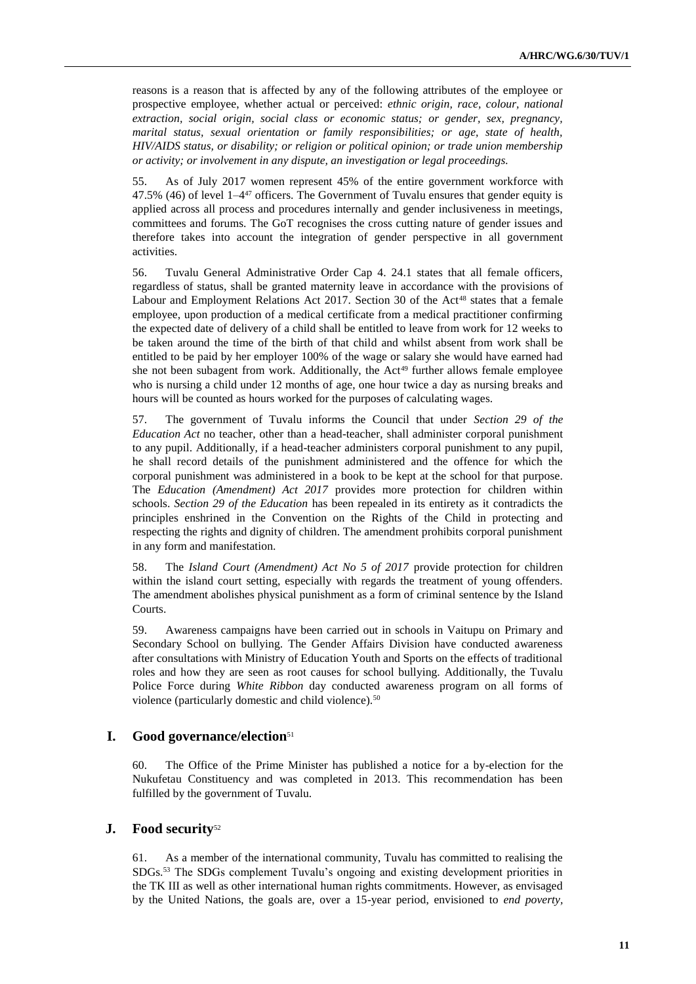reasons is a reason that is affected by any of the following attributes of the employee or prospective employee, whether actual or perceived: *ethnic origin, race, colour, national extraction, social origin, social class or economic status; or gender, sex, pregnancy, marital status, sexual orientation or family responsibilities; or age, state of health, HIV/AIDS status, or disability; or religion or political opinion; or trade union membership or activity; or involvement in any dispute, an investigation or legal proceedings.*

55. As of July 2017 women represent 45% of the entire government workforce with  $47.5\%$  (46) of level  $1-4^{47}$  officers. The Government of Tuvalu ensures that gender equity is applied across all process and procedures internally and gender inclusiveness in meetings, committees and forums. The GoT recognises the cross cutting nature of gender issues and therefore takes into account the integration of gender perspective in all government activities.

56. Tuvalu General Administrative Order Cap 4. 24.1 states that all female officers, regardless of status, shall be granted maternity leave in accordance with the provisions of Labour and Employment Relations Act 2017. Section 30 of the Act<sup>48</sup> states that a female employee, upon production of a medical certificate from a medical practitioner confirming the expected date of delivery of a child shall be entitled to leave from work for 12 weeks to be taken around the time of the birth of that child and whilst absent from work shall be entitled to be paid by her employer 100% of the wage or salary she would have earned had she not been subagent from work. Additionally, the  $Act^{49}$  further allows female employee who is nursing a child under 12 months of age, one hour twice a day as nursing breaks and hours will be counted as hours worked for the purposes of calculating wages.

57. The government of Tuvalu informs the Council that under *Section 29 of the Education Act* no teacher, other than a head-teacher, shall administer corporal punishment to any pupil. Additionally, if a head-teacher administers corporal punishment to any pupil, he shall record details of the punishment administered and the offence for which the corporal punishment was administered in a book to be kept at the school for that purpose. The *Education (Amendment) Act 2017* provides more protection for children within schools. *Section 29 of the Education* has been repealed in its entirety as it contradicts the principles enshrined in the Convention on the Rights of the Child in protecting and respecting the rights and dignity of children. The amendment prohibits corporal punishment in any form and manifestation.

58. The *Island Court (Amendment) Act No 5 of 2017* provide protection for children within the island court setting, especially with regards the treatment of young offenders. The amendment abolishes physical punishment as a form of criminal sentence by the Island Courts.

59. Awareness campaigns have been carried out in schools in Vaitupu on Primary and Secondary School on bullying. The Gender Affairs Division have conducted awareness after consultations with Ministry of Education Youth and Sports on the effects of traditional roles and how they are seen as root causes for school bullying. Additionally, the Tuvalu Police Force during *White Ribbon* day conducted awareness program on all forms of violence (particularly domestic and child violence).<sup>50</sup>

#### **I. Good governance/election**<sup>51</sup>

60. The Office of the Prime Minister has published a notice for a by-election for the Nukufetau Constituency and was completed in 2013. This recommendation has been fulfilled by the government of Tuvalu.

#### **J. Food security**<sup>52</sup>

61. As a member of the international community, Tuvalu has committed to realising the SDGs. <sup>53</sup> The SDGs complement Tuvalu's ongoing and existing development priorities in the TK III as well as other international human rights commitments. However, as envisaged by the United Nations, the goals are, over a 15-year period, envisioned to *end poverty,*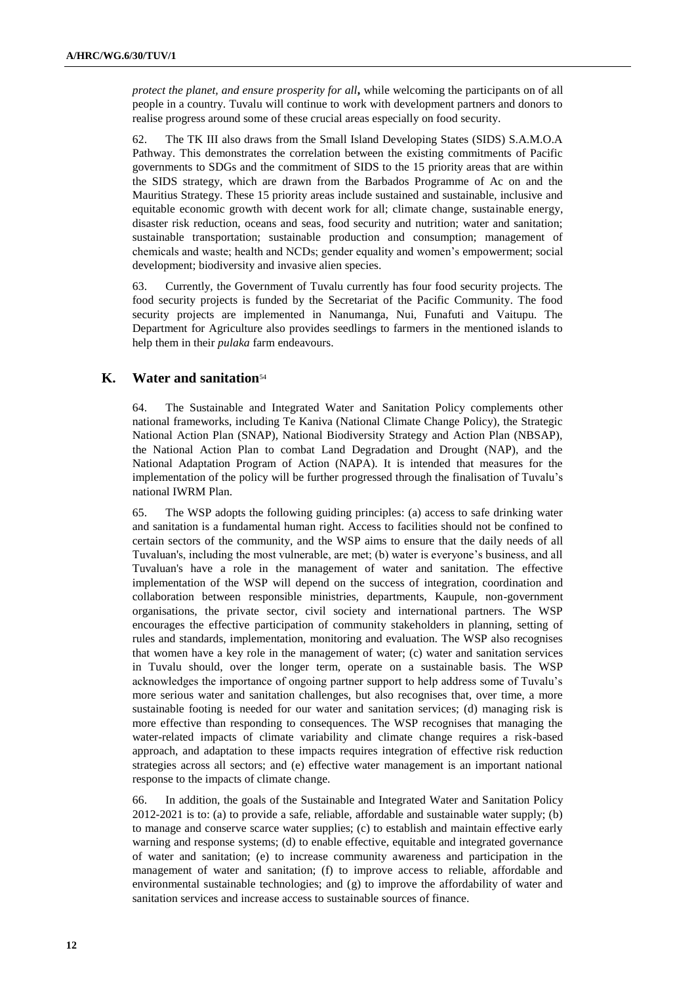*protect the planet, and ensure prosperity for all***,** while welcoming the participants on of all people in a country. Tuvalu will continue to work with development partners and donors to realise progress around some of these crucial areas especially on food security.

62. The TK III also draws from the Small Island Developing States (SIDS) S.A.M.O.A Pathway. This demonstrates the correlation between the existing commitments of Pacific governments to SDGs and the commitment of SIDS to the 15 priority areas that are within the SIDS strategy, which are drawn from the Barbados Programme of Ac on and the Mauritius Strategy. These 15 priority areas include sustained and sustainable, inclusive and equitable economic growth with decent work for all; climate change, sustainable energy, disaster risk reduction, oceans and seas, food security and nutrition; water and sanitation; sustainable transportation; sustainable production and consumption; management of chemicals and waste; health and NCDs; gender equality and women's empowerment; social development; biodiversity and invasive alien species.

63. Currently, the Government of Tuvalu currently has four food security projects. The food security projects is funded by the Secretariat of the Pacific Community. The food security projects are implemented in Nanumanga, Nui, Funafuti and Vaitupu. The Department for Agriculture also provides seedlings to farmers in the mentioned islands to help them in their *pulaka* farm endeavours.

### **K. Water and sanitation**<sup>54</sup>

64. The Sustainable and Integrated Water and Sanitation Policy complements other national frameworks, including Te Kaniva (National Climate Change Policy), the Strategic National Action Plan (SNAP), National Biodiversity Strategy and Action Plan (NBSAP), the National Action Plan to combat Land Degradation and Drought (NAP), and the National Adaptation Program of Action (NAPA). It is intended that measures for the implementation of the policy will be further progressed through the finalisation of Tuvalu's national IWRM Plan.

65. The WSP adopts the following guiding principles: (a) access to safe drinking water and sanitation is a fundamental human right. Access to facilities should not be confined to certain sectors of the community, and the WSP aims to ensure that the daily needs of all Tuvaluan's, including the most vulnerable, are met; (b) water is everyone's business, and all Tuvaluan's have a role in the management of water and sanitation. The effective implementation of the WSP will depend on the success of integration, coordination and collaboration between responsible ministries, departments, Kaupule, non-government organisations, the private sector, civil society and international partners. The WSP encourages the effective participation of community stakeholders in planning, setting of rules and standards, implementation, monitoring and evaluation. The WSP also recognises that women have a key role in the management of water; (c) water and sanitation services in Tuvalu should, over the longer term, operate on a sustainable basis. The WSP acknowledges the importance of ongoing partner support to help address some of Tuvalu's more serious water and sanitation challenges, but also recognises that, over time, a more sustainable footing is needed for our water and sanitation services; (d) managing risk is more effective than responding to consequences. The WSP recognises that managing the water-related impacts of climate variability and climate change requires a risk-based approach, and adaptation to these impacts requires integration of effective risk reduction strategies across all sectors; and (e) effective water management is an important national response to the impacts of climate change.

66. In addition, the goals of the Sustainable and Integrated Water and Sanitation Policy 2012-2021 is to: (a) to provide a safe, reliable, affordable and sustainable water supply; (b) to manage and conserve scarce water supplies; (c) to establish and maintain effective early warning and response systems; (d) to enable effective, equitable and integrated governance of water and sanitation; (e) to increase community awareness and participation in the management of water and sanitation; (f) to improve access to reliable, affordable and environmental sustainable technologies; and (g) to improve the affordability of water and sanitation services and increase access to sustainable sources of finance.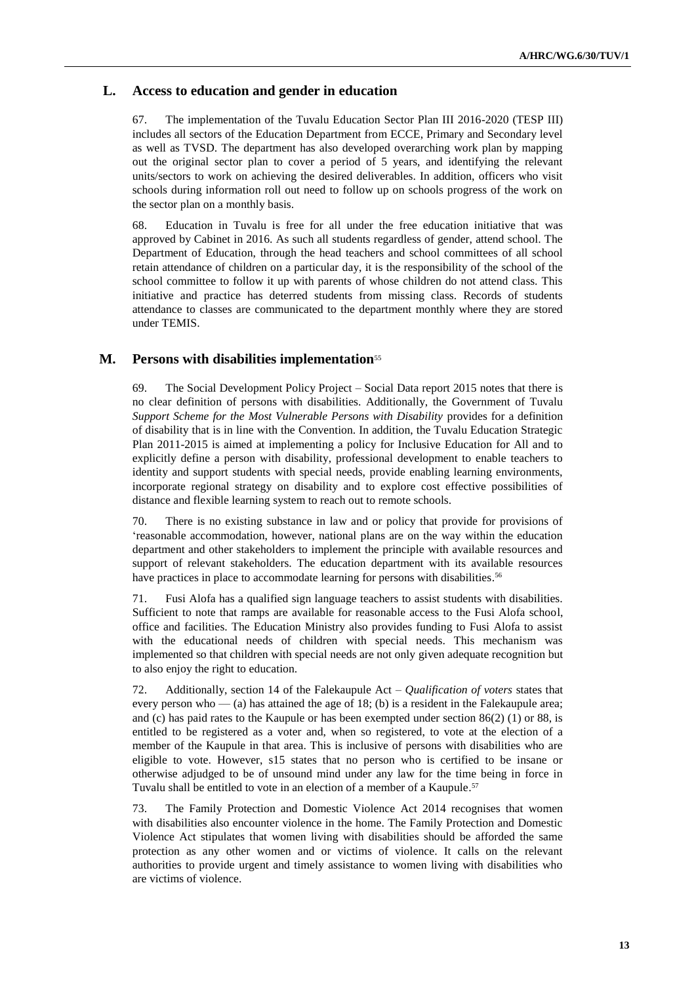#### **L. Access to education and gender in education**

67. The implementation of the Tuvalu Education Sector Plan III 2016-2020 (TESP III) includes all sectors of the Education Department from ECCE, Primary and Secondary level as well as TVSD. The department has also developed overarching work plan by mapping out the original sector plan to cover a period of 5 years, and identifying the relevant units/sectors to work on achieving the desired deliverables. In addition, officers who visit schools during information roll out need to follow up on schools progress of the work on the sector plan on a monthly basis.

68. Education in Tuvalu is free for all under the free education initiative that was approved by Cabinet in 2016. As such all students regardless of gender, attend school. The Department of Education, through the head teachers and school committees of all school retain attendance of children on a particular day, it is the responsibility of the school of the school committee to follow it up with parents of whose children do not attend class. This initiative and practice has deterred students from missing class. Records of students attendance to classes are communicated to the department monthly where they are stored under TEMIS.

## **M. Persons with disabilities implementation**<sup>55</sup>

69. The Social Development Policy Project – Social Data report 2015 notes that there is no clear definition of persons with disabilities. Additionally, the Government of Tuvalu *Support Scheme for the Most Vulnerable Persons with Disability* provides for a definition of disability that is in line with the Convention. In addition, the Tuvalu Education Strategic Plan 2011-2015 is aimed at implementing a policy for Inclusive Education for All and to explicitly define a person with disability, professional development to enable teachers to identity and support students with special needs, provide enabling learning environments, incorporate regional strategy on disability and to explore cost effective possibilities of distance and flexible learning system to reach out to remote schools.

70. There is no existing substance in law and or policy that provide for provisions of 'reasonable accommodation, however, national plans are on the way within the education department and other stakeholders to implement the principle with available resources and support of relevant stakeholders. The education department with its available resources have practices in place to accommodate learning for persons with disabilities.<sup>56</sup>

71. Fusi Alofa has a qualified sign language teachers to assist students with disabilities. Sufficient to note that ramps are available for reasonable access to the Fusi Alofa school, office and facilities. The Education Ministry also provides funding to Fusi Alofa to assist with the educational needs of children with special needs. This mechanism was implemented so that children with special needs are not only given adequate recognition but to also enjoy the right to education.

72. Additionally, section 14 of the Falekaupule Act – *Qualification of voters* states that every person who — (a) has attained the age of 18; (b) is a resident in the Falekaupule area; and (c) has paid rates to the Kaupule or has been exempted under section  $86(2)$  (1) or  $88$ , is entitled to be registered as a voter and, when so registered, to vote at the election of a member of the Kaupule in that area. This is inclusive of persons with disabilities who are eligible to vote. However, s15 states that no person who is certified to be insane or otherwise adjudged to be of unsound mind under any law for the time being in force in Tuvalu shall be entitled to vote in an election of a member of a Kaupule. 57

73. The Family Protection and Domestic Violence Act 2014 recognises that women with disabilities also encounter violence in the home. The Family Protection and Domestic Violence Act stipulates that women living with disabilities should be afforded the same protection as any other women and or victims of violence. It calls on the relevant authorities to provide urgent and timely assistance to women living with disabilities who are victims of violence.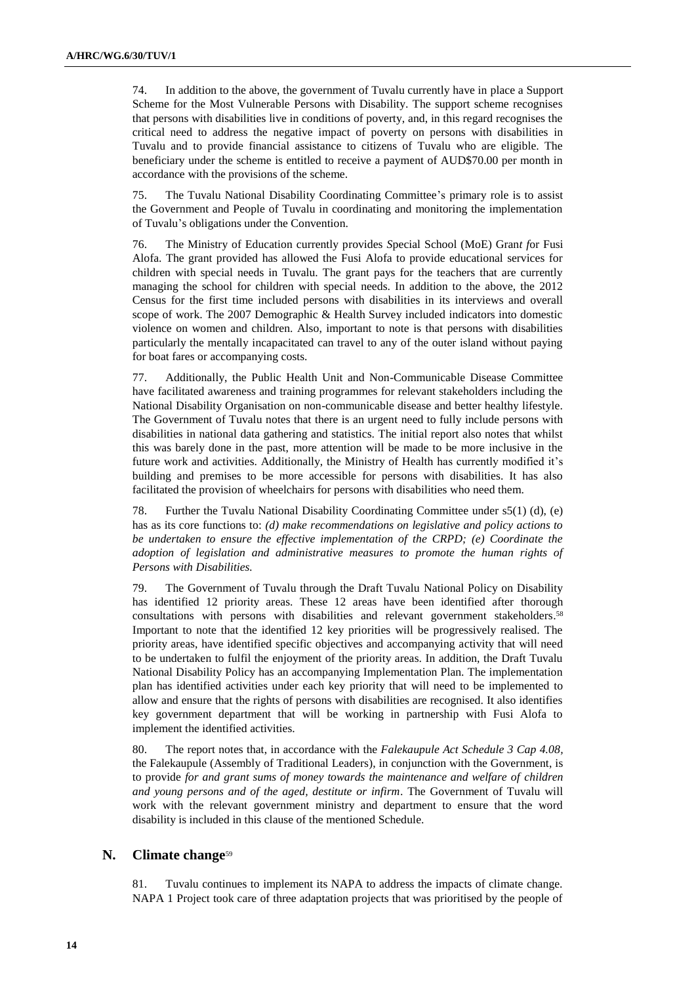74. In addition to the above, the government of Tuvalu currently have in place a Support Scheme for the Most Vulnerable Persons with Disability. The support scheme recognises that persons with disabilities live in conditions of poverty, and, in this regard recognises the critical need to address the negative impact of poverty on persons with disabilities in Tuvalu and to provide financial assistance to citizens of Tuvalu who are eligible. The beneficiary under the scheme is entitled to receive a payment of AUD\$70.00 per month in accordance with the provisions of the scheme.

75. The Tuvalu National Disability Coordinating Committee's primary role is to assist the Government and People of Tuvalu in coordinating and monitoring the implementation of Tuvalu's obligations under the Convention.

76. The Ministry of Education currently provides *S*pecial School (MoE) Gran*t f*or Fusi Alofa. The grant provided has allowed the Fusi Alofa to provide educational services for children with special needs in Tuvalu. The grant pays for the teachers that are currently managing the school for children with special needs. In addition to the above, the 2012 Census for the first time included persons with disabilities in its interviews and overall scope of work. The 2007 Demographic & Health Survey included indicators into domestic violence on women and children. Also, important to note is that persons with disabilities particularly the mentally incapacitated can travel to any of the outer island without paying for boat fares or accompanying costs.

77. Additionally, the Public Health Unit and Non-Communicable Disease Committee have facilitated awareness and training programmes for relevant stakeholders including the National Disability Organisation on non-communicable disease and better healthy lifestyle. The Government of Tuvalu notes that there is an urgent need to fully include persons with disabilities in national data gathering and statistics. The initial report also notes that whilst this was barely done in the past, more attention will be made to be more inclusive in the future work and activities. Additionally, the Ministry of Health has currently modified it's building and premises to be more accessible for persons with disabilities. It has also facilitated the provision of wheelchairs for persons with disabilities who need them.

78. Further the Tuvalu National Disability Coordinating Committee under s5(1) (d), (e) has as its core functions to: *(d) make recommendations on legislative and policy actions to be undertaken to ensure the effective implementation of the CRPD; (e) Coordinate the adoption of legislation and administrative measures to promote the human rights of Persons with Disabilities.*

79. The Government of Tuvalu through the Draft Tuvalu National Policy on Disability has identified 12 priority areas. These 12 areas have been identified after thorough consultations with persons with disabilities and relevant government stakeholders. 58 Important to note that the identified 12 key priorities will be progressively realised. The priority areas, have identified specific objectives and accompanying activity that will need to be undertaken to fulfil the enjoyment of the priority areas. In addition, the Draft Tuvalu National Disability Policy has an accompanying Implementation Plan. The implementation plan has identified activities under each key priority that will need to be implemented to allow and ensure that the rights of persons with disabilities are recognised. It also identifies key government department that will be working in partnership with Fusi Alofa to implement the identified activities.

80. The report notes that, in accordance with the *Falekaupule Act Schedule 3 Cap 4.08,*  the Falekaupule (Assembly of Traditional Leaders), in conjunction with the Government, is to provide *for and grant sums of money towards the maintenance and welfare of children and young persons and of the aged, destitute or infirm*. The Government of Tuvalu will work with the relevant government ministry and department to ensure that the word disability is included in this clause of the mentioned Schedule.

#### **N. Climate change**<sup>59</sup>

81. Tuvalu continues to implement its NAPA to address the impacts of climate change. NAPA 1 Project took care of three adaptation projects that was prioritised by the people of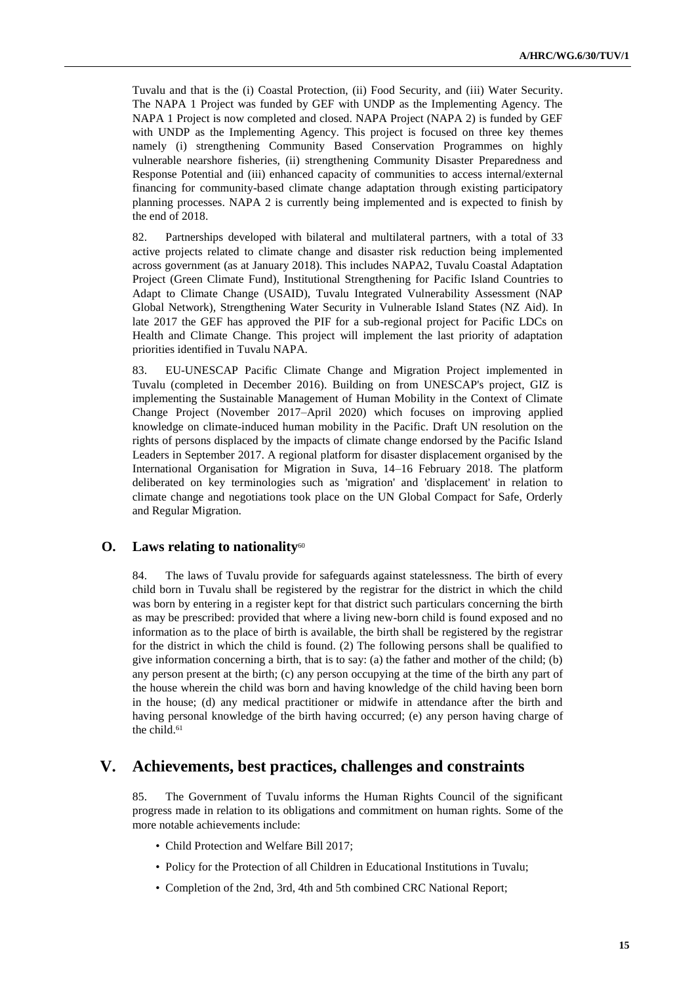Tuvalu and that is the (i) Coastal Protection, (ii) Food Security, and (iii) Water Security. The NAPA 1 Project was funded by GEF with UNDP as the Implementing Agency. The NAPA 1 Project is now completed and closed. NAPA Project (NAPA 2) is funded by GEF with UNDP as the Implementing Agency. This project is focused on three key themes namely (i) strengthening Community Based Conservation Programmes on highly vulnerable nearshore fisheries, (ii) strengthening Community Disaster Preparedness and Response Potential and (iii) enhanced capacity of communities to access internal/external financing for community-based climate change adaptation through existing participatory planning processes. NAPA 2 is currently being implemented and is expected to finish by the end of 2018.

82. Partnerships developed with bilateral and multilateral partners, with a total of 33 active projects related to climate change and disaster risk reduction being implemented across government (as at January 2018). This includes NAPA2, Tuvalu Coastal Adaptation Project (Green Climate Fund), Institutional Strengthening for Pacific Island Countries to Adapt to Climate Change (USAID), Tuvalu Integrated Vulnerability Assessment (NAP Global Network), Strengthening Water Security in Vulnerable Island States (NZ Aid). In late 2017 the GEF has approved the PIF for a sub-regional project for Pacific LDCs on Health and Climate Change. This project will implement the last priority of adaptation priorities identified in Tuvalu NAPA.

83. EU-UNESCAP Pacific Climate Change and Migration Project implemented in Tuvalu (completed in December 2016). Building on from UNESCAP's project, GIZ is implementing the Sustainable Management of Human Mobility in the Context of Climate Change Project (November 2017–April 2020) which focuses on improving applied knowledge on climate-induced human mobility in the Pacific. Draft UN resolution on the rights of persons displaced by the impacts of climate change endorsed by the Pacific Island Leaders in September 2017. A regional platform for disaster displacement organised by the International Organisation for Migration in Suva, 14–16 February 2018. The platform deliberated on key terminologies such as 'migration' and 'displacement' in relation to climate change and negotiations took place on the UN Global Compact for Safe, Orderly and Regular Migration.

#### **O.** Laws relating to nationality<sup>60</sup>

84. The laws of Tuvalu provide for safeguards against statelessness. The birth of every child born in Tuvalu shall be registered by the registrar for the district in which the child was born by entering in a register kept for that district such particulars concerning the birth as may be prescribed: provided that where a living new-born child is found exposed and no information as to the place of birth is available, the birth shall be registered by the registrar for the district in which the child is found. (2) The following persons shall be qualified to give information concerning a birth, that is to say: (a) the father and mother of the child; (b) any person present at the birth; (c) any person occupying at the time of the birth any part of the house wherein the child was born and having knowledge of the child having been born in the house; (d) any medical practitioner or midwife in attendance after the birth and having personal knowledge of the birth having occurred; (e) any person having charge of the child.<sup>61</sup>

## **V. Achievements, best practices, challenges and constraints**

85. The Government of Tuvalu informs the Human Rights Council of the significant progress made in relation to its obligations and commitment on human rights. Some of the more notable achievements include:

- Child Protection and Welfare Bill 2017;
- Policy for the Protection of all Children in Educational Institutions in Tuvalu;
- Completion of the 2nd, 3rd, 4th and 5th combined CRC National Report;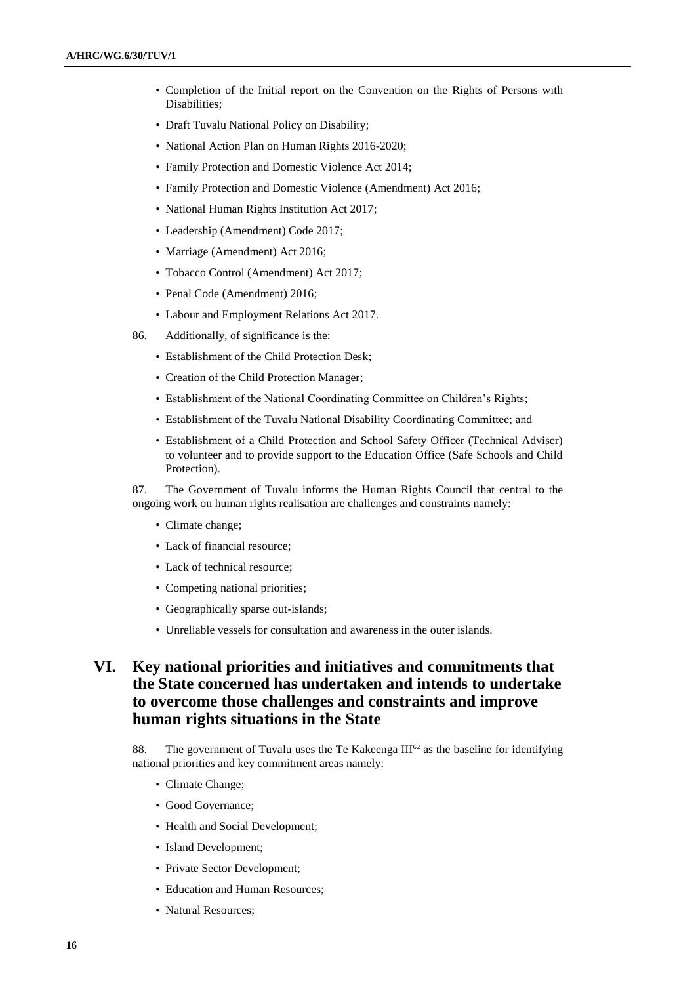- Completion of the Initial report on the Convention on the Rights of Persons with Disabilities;
- Draft Tuvalu National Policy on Disability;
- National Action Plan on Human Rights 2016-2020;
- Family Protection and Domestic Violence Act 2014;
- Family Protection and Domestic Violence (Amendment) Act 2016;
- National Human Rights Institution Act 2017;
- Leadership (Amendment) Code 2017;
- Marriage (Amendment) Act 2016;
- Tobacco Control (Amendment) Act 2017;
- Penal Code (Amendment) 2016;
- Labour and Employment Relations Act 2017.
- 86. Additionally, of significance is the:
	- Establishment of the Child Protection Desk;
	- Creation of the Child Protection Manager;
	- Establishment of the National Coordinating Committee on Children's Rights;
	- Establishment of the Tuvalu National Disability Coordinating Committee; and
	- Establishment of a Child Protection and School Safety Officer (Technical Adviser) to volunteer and to provide support to the Education Office (Safe Schools and Child Protection).

87. The Government of Tuvalu informs the Human Rights Council that central to the ongoing work on human rights realisation are challenges and constraints namely:

- Climate change;
- Lack of financial resource:
- Lack of technical resource;
- Competing national priorities;
- Geographically sparse out-islands;
- Unreliable vessels for consultation and awareness in the outer islands.

# **VI. Key national priorities and initiatives and commitments that the State concerned has undertaken and intends to undertake to overcome those challenges and constraints and improve human rights situations in the State**

88. The government of Tuvalu uses the Te Kakeenga  $III^{62}$  as the baseline for identifying national priorities and key commitment areas namely:

- Climate Change;
- Good Governance;
- Health and Social Development;
- Island Development;
- Private Sector Development;
- Education and Human Resources;
- Natural Resources;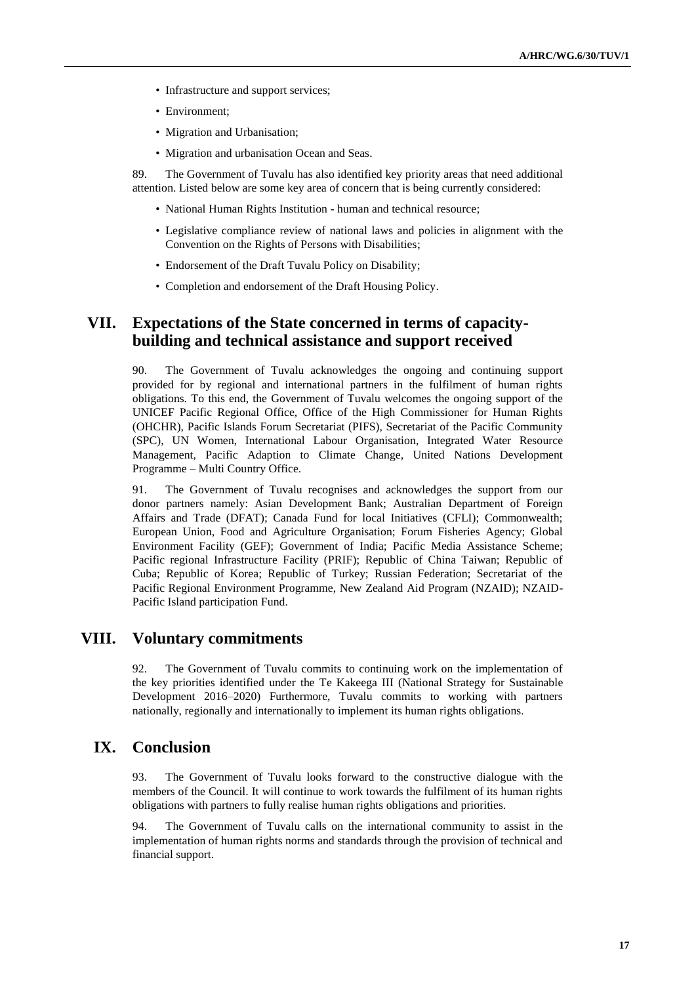- Infrastructure and support services;
- Environment;
- Migration and Urbanisation;
- Migration and urbanisation Ocean and Seas.

89. The Government of Tuvalu has also identified key priority areas that need additional attention. Listed below are some key area of concern that is being currently considered:

- National Human Rights Institution human and technical resource;
- Legislative compliance review of national laws and policies in alignment with the Convention on the Rights of Persons with Disabilities;
- Endorsement of the Draft Tuvalu Policy on Disability;
- Completion and endorsement of the Draft Housing Policy.

## **VII. Expectations of the State concerned in terms of capacitybuilding and technical assistance and support received**

90. The Government of Tuvalu acknowledges the ongoing and continuing support provided for by regional and international partners in the fulfilment of human rights obligations. To this end, the Government of Tuvalu welcomes the ongoing support of the UNICEF Pacific Regional Office, Office of the High Commissioner for Human Rights (OHCHR), Pacific Islands Forum Secretariat (PIFS), Secretariat of the Pacific Community (SPC), UN Women, International Labour Organisation, Integrated Water Resource Management, Pacific Adaption to Climate Change, United Nations Development Programme – Multi Country Office.

91. The Government of Tuvalu recognises and acknowledges the support from our donor partners namely: Asian Development Bank; Australian Department of Foreign Affairs and Trade (DFAT); Canada Fund for local Initiatives (CFLI); Commonwealth; European Union, Food and Agriculture Organisation; Forum Fisheries Agency; Global Environment Facility (GEF); Government of India; Pacific Media Assistance Scheme; Pacific regional Infrastructure Facility (PRIF); Republic of China Taiwan; Republic of Cuba; Republic of Korea; Republic of Turkey; Russian Federation; Secretariat of the Pacific Regional Environment Programme, New Zealand Aid Program (NZAID); NZAID-Pacific Island participation Fund.

## **VIII. Voluntary commitments**

92. The Government of Tuvalu commits to continuing work on the implementation of the key priorities identified under the Te Kakeega III (National Strategy for Sustainable Development 2016–2020) Furthermore, Tuvalu commits to working with partners nationally, regionally and internationally to implement its human rights obligations.

## **IX. Conclusion**

93. The Government of Tuvalu looks forward to the constructive dialogue with the members of the Council. It will continue to work towards the fulfilment of its human rights obligations with partners to fully realise human rights obligations and priorities.

94. The Government of Tuvalu calls on the international community to assist in the implementation of human rights norms and standards through the provision of technical and financial support.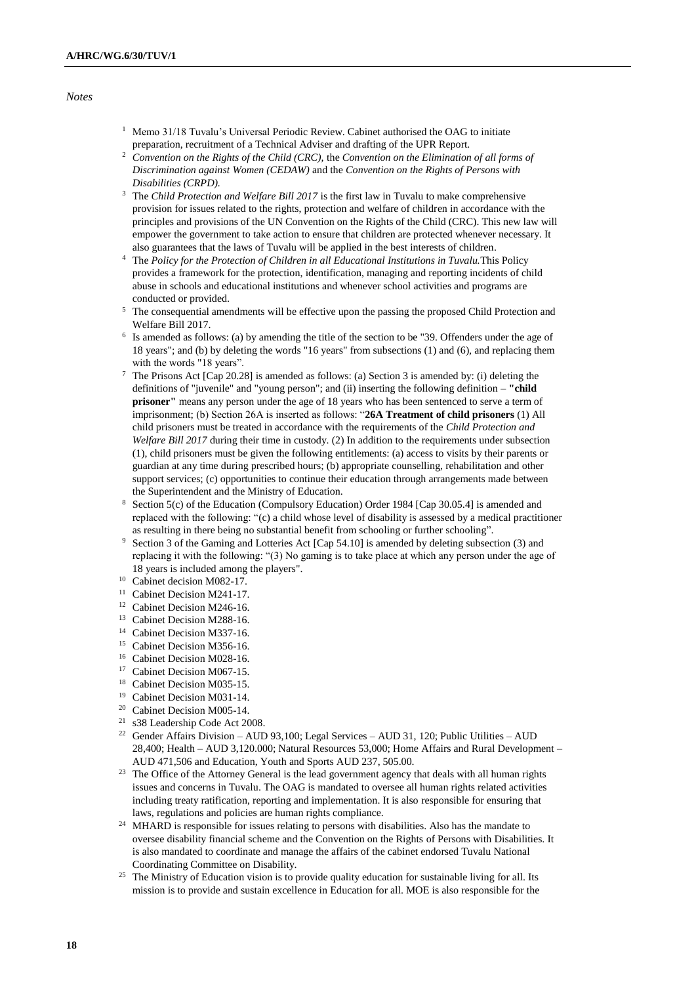#### *Notes*

- $1$  Memo 31/18 Tuvalu's Universal Periodic Review. Cabinet authorised the OAG to initiate preparation, recruitment of a Technical Adviser and drafting of the UPR Report.
- <sup>2</sup> *Convention on the Rights of the Child (CRC),* the *Convention on the Elimination of all forms of Discrimination against Women (CEDAW)* and the *Convention on the Rights of Persons with Disabilities (CRPD).*
- <sup>3</sup> The *Child Protection and Welfare Bill 2017* is the first law in Tuvalu to make comprehensive provision for issues related to the rights, protection and welfare of children in accordance with the principles and provisions of the UN Convention on the Rights of the Child (CRC). This new law will empower the government to take action to ensure that children are protected whenever necessary. It also guarantees that the laws of Tuvalu will be applied in the best interests of children.
- <sup>4</sup> The *Policy for the Protection of Children in all Educational Institutions in Tuvalu.*This Policy provides a framework for the protection, identification, managing and reporting incidents of child abuse in schools and educational institutions and whenever school activities and programs are conducted or provided.
- <sup>5</sup> The consequential amendments will be effective upon the passing the proposed Child Protection and Welfare Bill 2017.
- 6 Is amended as follows: (a) by amending the title of the section to be "39. Offenders under the age of 18 years"; and (b) by deleting the words "16 years" from subsections (1) and (6), and replacing them with the words "18 years".
- <sup>7</sup> The Prisons Act [Cap 20.28] is amended as follows: (a) Section 3 is amended by: (i) deleting the definitions of "juvenile" and "young person"; and (ii) inserting the following definition – **"child prisoner"** means any person under the age of 18 years who has been sentenced to serve a term of imprisonment; (b) Section 26A is inserted as follows: "**26A Treatment of child prisoners** (1) All child prisoners must be treated in accordance with the requirements of the *Child Protection and Welfare Bill 2017* during their time in custody. (2) In addition to the requirements under subsection (1), child prisoners must be given the following entitlements: (a) access to visits by their parents or guardian at any time during prescribed hours; (b) appropriate counselling, rehabilitation and other support services; (c) opportunities to continue their education through arrangements made between the Superintendent and the Ministry of Education.
- <sup>8</sup> Section 5(c) of the Education (Compulsory Education) Order 1984 [Cap 30.05.4] is amended and replaced with the following: "(c) a child whose level of disability is assessed by a medical practitioner as resulting in there being no substantial benefit from schooling or further schooling".
- <sup>9</sup> Section 3 of the Gaming and Lotteries Act [Cap 54.10] is amended by deleting subsection (3) and replacing it with the following: "(3) No gaming is to take place at which any person under the age of 18 years is included among the players".
- <sup>10</sup> Cabinet decision M082-17.
- <sup>11</sup> Cabinet Decision M241-17.
- <sup>12</sup> Cabinet Decision M246-16.
- <sup>13</sup> Cabinet Decision M288-16.
- <sup>14</sup> Cabinet Decision M337-16.
- <sup>15</sup> Cabinet Decision M356-16.
- <sup>16</sup> Cabinet Decision M028-16.
- <sup>17</sup> Cabinet Decision M067-15.
- <sup>18</sup> Cabinet Decision M035-15.
- <sup>19</sup> Cabinet Decision M031-14.
- <sup>20</sup> Cabinet Decision M005-14.
- <sup>21</sup> s38 Leadership Code Act 2008.
- <sup>22</sup> Gender Affairs Division AUD 93,100; Legal Services AUD 31, 120; Public Utilities AUD 28,400; Health – AUD 3,120.000; Natural Resources 53,000; Home Affairs and Rural Development – AUD 471,506 and Education, Youth and Sports AUD 237, 505.00.
- <sup>23</sup> The Office of the Attorney General is the lead government agency that deals with all human rights issues and concerns in Tuvalu. The OAG is mandated to oversee all human rights related activities including treaty ratification, reporting and implementation. It is also responsible for ensuring that laws, regulations and policies are human rights compliance.
- <sup>24</sup> MHARD is responsible for issues relating to persons with disabilities. Also has the mandate to oversee disability financial scheme and the Convention on the Rights of Persons with Disabilities. It is also mandated to coordinate and manage the affairs of the cabinet endorsed Tuvalu National Coordinating Committee on Disability.
- <sup>25</sup> The Ministry of Education vision is to provide quality education for sustainable living for all. Its mission is to provide and sustain excellence in Education for all. MOE is also responsible for the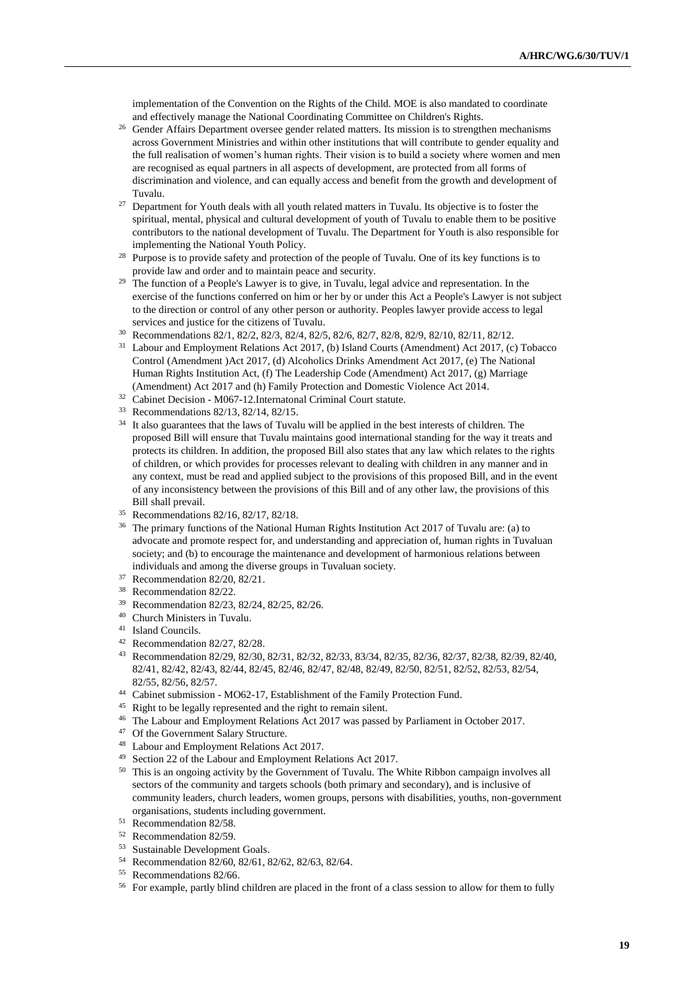implementation of the Convention on the Rights of the Child. MOE is also mandated to coordinate and effectively manage the National Coordinating Committee on Children's Rights.

- <sup>26</sup> Gender Affairs Department oversee gender related matters. Its mission is to strengthen mechanisms across Government Ministries and within other institutions that will contribute to gender equality and the full realisation of women's human rights. Their vision is to build a society where women and men are recognised as equal partners in all aspects of development, are protected from all forms of discrimination and violence, and can equally access and benefit from the growth and development of Tuvalu.
- $27$  Department for Youth deals with all youth related matters in Tuvalu. Its objective is to foster the spiritual, mental, physical and cultural development of youth of Tuvalu to enable them to be positive contributors to the national development of Tuvalu. The Department for Youth is also responsible for implementing the National Youth Policy.
- Purpose is to provide safety and protection of the people of Tuvalu. One of its key functions is to provide law and order and to maintain peace and security.
- <sup>29</sup> The function of a People's Lawyer is to give, in Tuvalu, legal advice and representation. In the exercise of the functions conferred on him or her by or under this Act a People's Lawyer is not subject to the direction or control of any other person or authority. Peoples lawyer provide access to legal services and justice for the citizens of Tuvalu.
- <sup>30</sup> Recommendations 82/1, 82/2, 82/3, 82/4, 82/5, 82/6, 82/7, 82/8, 82/9, 82/10, 82/11, 82/12.
- <sup>31</sup> Labour and Employment Relations Act 2017, (b) Island Courts (Amendment) Act 2017, (c) Tobacco Control (Amendment )Act 2017, (d) Alcoholics Drinks Amendment Act 2017, (e) The National Human Rights Institution Act, (f) The Leadership Code (Amendment) Act 2017, (g) Marriage (Amendment) Act 2017 and (h) Family Protection and Domestic Violence Act 2014.
- <sup>32</sup> Cabinet Decision M067-12.Internatonal Criminal Court statute.
- <sup>33</sup> Recommendations 82/13, 82/14, 82/15.
- <sup>34</sup> It also guarantees that the laws of Tuvalu will be applied in the best interests of children. The proposed Bill will ensure that Tuvalu maintains good international standing for the way it treats and protects its children. In addition, the proposed Bill also states that any law which relates to the rights of children, or which provides for processes relevant to dealing with children in any manner and in any context, must be read and applied subject to the provisions of this proposed Bill, and in the event of any inconsistency between the provisions of this Bill and of any other law, the provisions of this Bill shall prevail.
- <sup>35</sup> Recommendations 82/16, 82/17, 82/18.
- <sup>36</sup> The primary functions of the National Human Rights Institution Act 2017 of Tuvalu are: (a) to advocate and promote respect for, and understanding and appreciation of, human rights in Tuvaluan society; and (b) to encourage the maintenance and development of harmonious relations between individuals and among the diverse groups in Tuvaluan society.
- <sup>37</sup> Recommendation 82/20, 82/21.
- <sup>38</sup> Recommendation 82/22.
- <sup>39</sup> Recommendation 82/23, 82/24, 82/25, 82/26.
- <sup>40</sup> Church Ministers in Tuvalu.
- <sup>41</sup> Island Councils.
- <sup>42</sup> Recommendation 82/27, 82/28.
- <sup>43</sup> Recommendation 82/29, 82/30, 82/31, 82/32, 82/33, 83/34, 82/35, 82/36, 82/37, 82/38, 82/39, 82/40, 82/41, 82/42, 82/43, 82/44, 82/45, 82/46, 82/47, 82/48, 82/49, 82/50, 82/51, 82/52, 82/53, 82/54, 82/55, 82/56, 82/57.
- <sup>44</sup> Cabinet submission MO62-17, Establishment of the Family Protection Fund.
- <sup>45</sup> Right to be legally represented and the right to remain silent.
- <sup>46</sup> The Labour and Employment Relations Act 2017 was passed by Parliament in October 2017.
- <sup>47</sup> Of the Government Salary Structure.
- <sup>48</sup> Labour and Employment Relations Act 2017.
- <sup>49</sup> Section 22 of the Labour and Employment Relations Act 2017.
- <sup>50</sup> This is an ongoing activity by the Government of Tuvalu. The White Ribbon campaign involves all sectors of the community and targets schools (both primary and secondary), and is inclusive of community leaders, church leaders, women groups, persons with disabilities, youths, non-government organisations, students including government.
- <sup>51</sup> Recommendation 82/58.
- <sup>52</sup> Recommendation 82/59.
- <sup>53</sup> Sustainable Development Goals.
- <sup>54</sup> Recommendation 82/60, 82/61, 82/62, 82/63, 82/64.
- <sup>55</sup> Recommendations 82/66.
- <sup>56</sup> For example, partly blind children are placed in the front of a class session to allow for them to fully